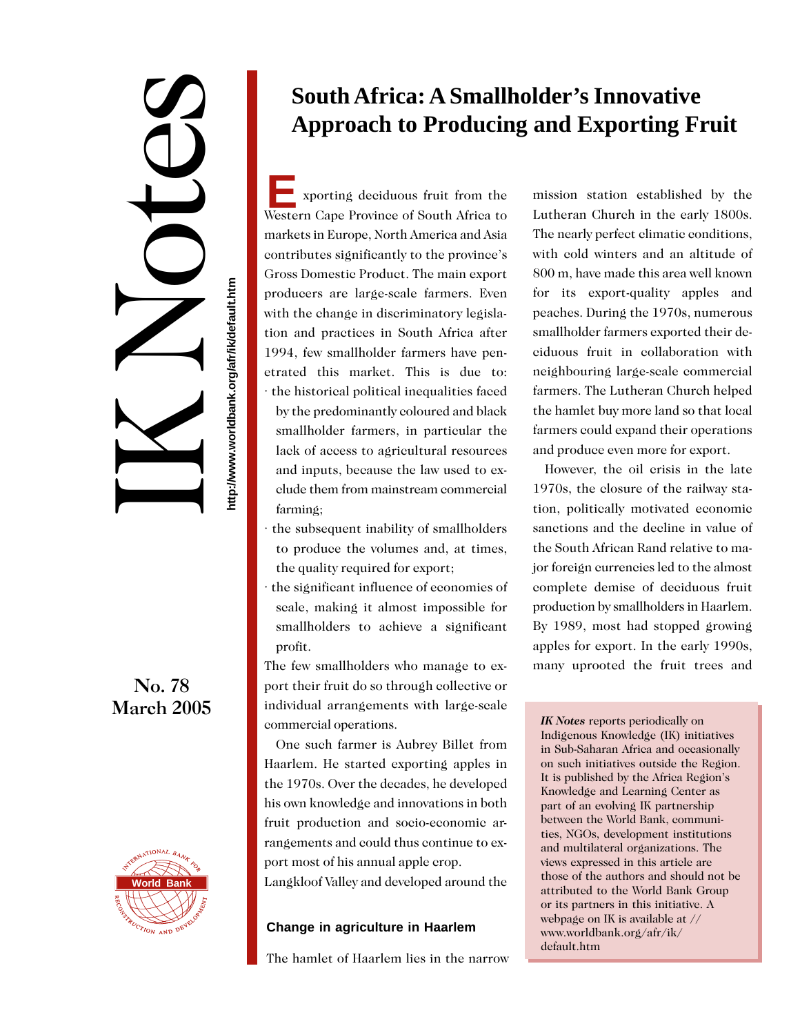IK Notes

**http://www.worldbank.org/afr/ik/default.htm**

http://www.worldbank.org/afr/ik/default.htm

No. 78 March 2005



# **South Africa: A Smallholder's Innovative Approach to Producing and Exporting Fruit**

**E** xporting deciduous fruit from the Western Cape Province of South Africa to markets in Europe, North America and Asia contributes significantly to the province's Gross Domestic Product. The main export producers are large-scale farmers. Even with the change in discriminatory legislation and practices in South Africa after 1994, few smallholder farmers have penetrated this market. This is due to: · the historical political inequalities faced by the predominantly coloured and black smallholder farmers, in particular the lack of access to agricultural resources and inputs, because the law used to exclude them from mainstream commercial farming;

- · the subsequent inability of smallholders to produce the volumes and, at times, the quality required for export;
- · the significant influence of economies of scale, making it almost impossible for smallholders to achieve a significant profit.

The few smallholders who manage to export their fruit do so through collective or individual arrangements with large-scale commercial operations.

One such farmer is Aubrey Billet from Haarlem. He started exporting apples in the 1970s. Over the decades, he developed his own knowledge and innovations in both fruit production and socio-economic arrangements and could thus continue to export most of his annual apple crop. Langkloof Valley and developed around the

# **Change in agriculture in Haarlem**

The hamlet of Haarlem lies in the narrow

mission station established by the Lutheran Church in the early 1800s. The nearly perfect climatic conditions, with cold winters and an altitude of 800 m, have made this area well known for its export-quality apples and peaches. During the 1970s, numerous smallholder farmers exported their deciduous fruit in collaboration with neighbouring large-scale commercial farmers. The Lutheran Church helped the hamlet buy more land so that local farmers could expand their operations and produce even more for export.

However, the oil crisis in the late 1970s, the closure of the railway station, politically motivated economic sanctions and the decline in value of the South African Rand relative to major foreign currencies led to the almost complete demise of deciduous fruit production by smallholders in Haarlem. By 1989, most had stopped growing apples for export. In the early 1990s, many uprooted the fruit trees and

*IK Notes* reports periodically on Indigenous Knowledge (IK) initiatives in Sub-Saharan Africa and occasionally on such initiatives outside the Region. It is published by the Africa Region's Knowledge and Learning Center as part of an evolving IK partnership between the World Bank, communities, NGOs, development institutions and multilateral organizations. The views expressed in this article are those of the authors and should not be attributed to the World Bank Group or its partners in this initiative. A webpage on IK is available at // www.worldbank.org/afr/ik/ default.htm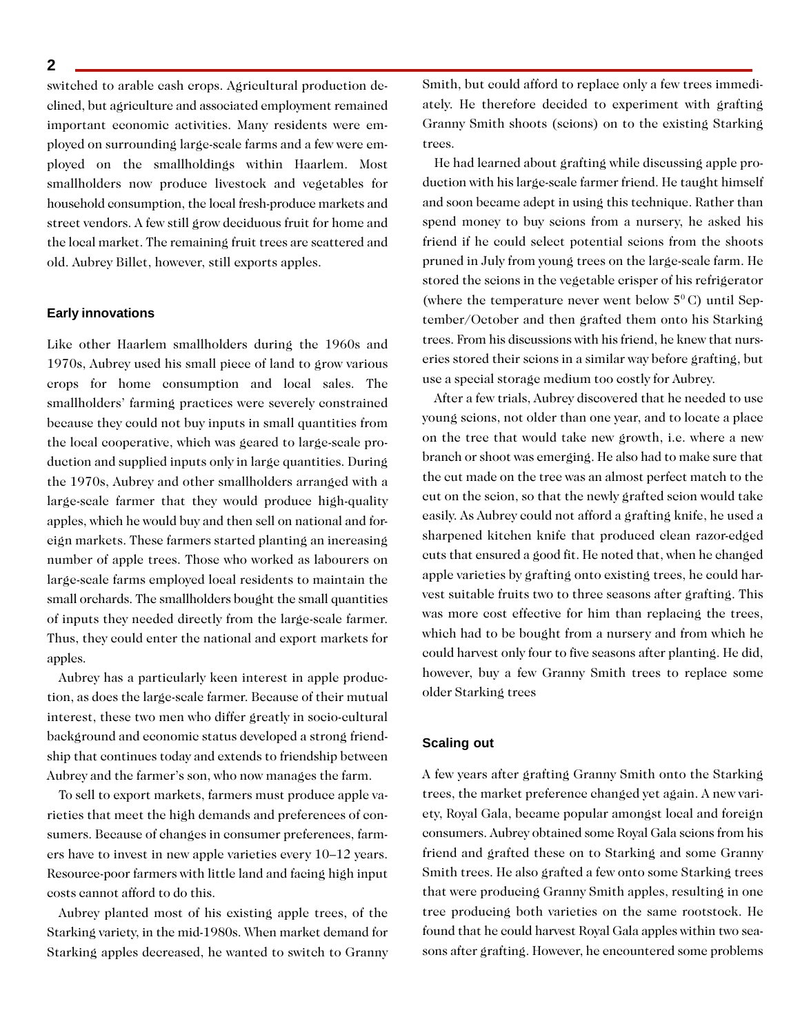switched to arable cash crops. Agricultural production declined, but agriculture and associated employment remained important economic activities. Many residents were employed on surrounding large-scale farms and a few were employed on the smallholdings within Haarlem. Most smallholders now produce livestock and vegetables for household consumption, the local fresh-produce markets and street vendors. A few still grow deciduous fruit for home and the local market. The remaining fruit trees are scattered and old. Aubrey Billet, however, still exports apples.

#### **Early innovations**

Like other Haarlem smallholders during the 1960s and 1970s, Aubrey used his small piece of land to grow various crops for home consumption and local sales. The smallholders' farming practices were severely constrained because they could not buy inputs in small quantities from the local cooperative, which was geared to large-scale production and supplied inputs only in large quantities. During the 1970s, Aubrey and other smallholders arranged with a large-scale farmer that they would produce high-quality apples, which he would buy and then sell on national and foreign markets. These farmers started planting an increasing number of apple trees. Those who worked as labourers on large-scale farms employed local residents to maintain the small orchards. The smallholders bought the small quantities of inputs they needed directly from the large-scale farmer. Thus, they could enter the national and export markets for apples.

Aubrey has a particularly keen interest in apple production, as does the large-scale farmer. Because of their mutual interest, these two men who differ greatly in socio-cultural background and economic status developed a strong friendship that continues today and extends to friendship between Aubrey and the farmer's son, who now manages the farm.

To sell to export markets, farmers must produce apple varieties that meet the high demands and preferences of consumers. Because of changes in consumer preferences, farmers have to invest in new apple varieties every 10–12 years. Resource-poor farmers with little land and facing high input costs cannot afford to do this.

Aubrey planted most of his existing apple trees, of the Starking variety, in the mid-1980s. When market demand for Starking apples decreased, he wanted to switch to Granny Smith, but could afford to replace only a few trees immediately. He therefore decided to experiment with grafting Granny Smith shoots (scions) on to the existing Starking trees.

He had learned about grafting while discussing apple production with his large-scale farmer friend. He taught himself and soon became adept in using this technique. Rather than spend money to buy scions from a nursery, he asked his friend if he could select potential scions from the shoots pruned in July from young trees on the large-scale farm. He stored the scions in the vegetable crisper of his refrigerator (where the temperature never went below  $5^{\circ}$ C) until September/October and then grafted them onto his Starking trees. From his discussions with his friend, he knew that nurseries stored their scions in a similar way before grafting, but use a special storage medium too costly for Aubrey.

After a few trials, Aubrey discovered that he needed to use young scions, not older than one year, and to locate a place on the tree that would take new growth, i.e. where a new branch or shoot was emerging. He also had to make sure that the cut made on the tree was an almost perfect match to the cut on the scion, so that the newly grafted scion would take easily. As Aubrey could not afford a grafting knife, he used a sharpened kitchen knife that produced clean razor-edged cuts that ensured a good fit. He noted that, when he changed apple varieties by grafting onto existing trees, he could harvest suitable fruits two to three seasons after grafting. This was more cost effective for him than replacing the trees, which had to be bought from a nursery and from which he could harvest only four to five seasons after planting. He did, however, buy a few Granny Smith trees to replace some older Starking trees

#### **Scaling out**

A few years after grafting Granny Smith onto the Starking trees, the market preference changed yet again. A new variety, Royal Gala, became popular amongst local and foreign consumers. Aubrey obtained some Royal Gala scions from his friend and grafted these on to Starking and some Granny Smith trees. He also grafted a few onto some Starking trees that were producing Granny Smith apples, resulting in one tree producing both varieties on the same rootstock. He found that he could harvest Royal Gala apples within two seasons after grafting. However, he encountered some problems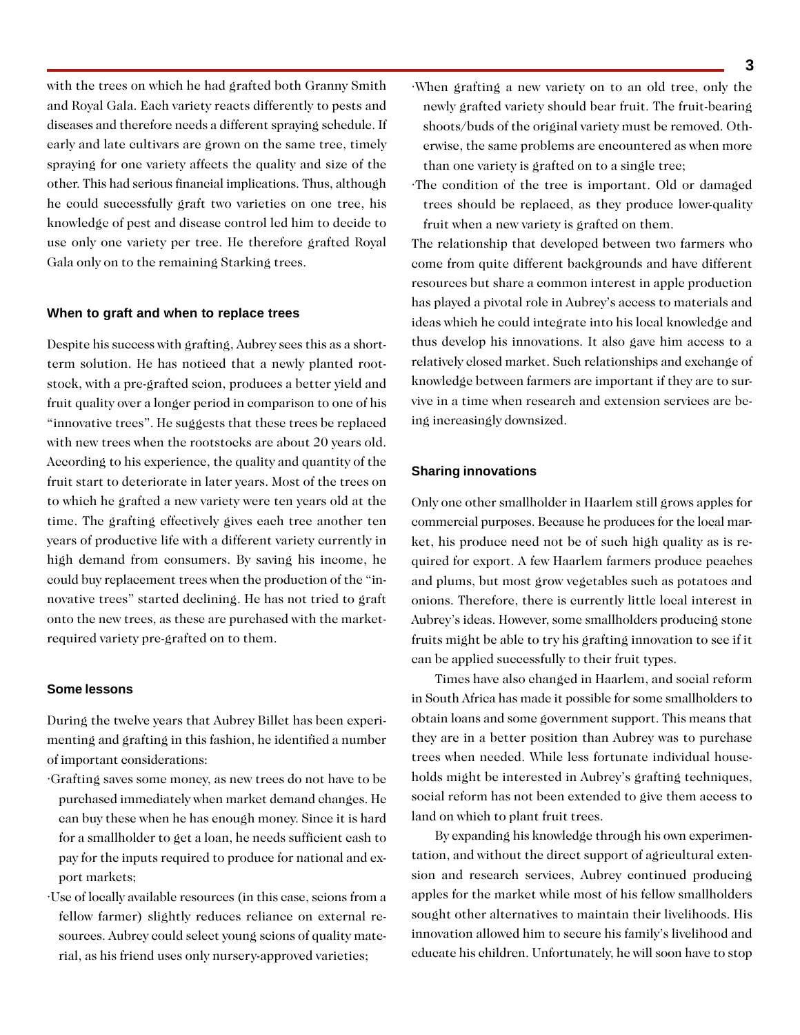with the trees on which he had grafted both Granny Smith and Royal Gala. Each variety reacts differently to pests and diseases and therefore needs a different spraying schedule. If early and late cultivars are grown on the same tree, timely spraying for one variety affects the quality and size of the other. This had serious financial implications. Thus, although he could successfully graft two varieties on one tree, his knowledge of pest and disease control led him to decide to use only one variety per tree. He therefore grafted Royal Gala only on to the remaining Starking trees.

#### **When to graft and when to replace trees**

Despite his success with grafting, Aubrey sees this as a shortterm solution. He has noticed that a newly planted rootstock, with a pre-grafted scion, produces a better yield and fruit quality over a longer period in comparison to one of his "innovative trees". He suggests that these trees be replaced with new trees when the rootstocks are about 20 years old. According to his experience, the quality and quantity of the fruit start to deteriorate in later years. Most of the trees on to which he grafted a new variety were ten years old at the time. The grafting effectively gives each tree another ten years of productive life with a different variety currently in high demand from consumers. By saving his income, he could buy replacement trees when the production of the "innovative trees" started declining. He has not tried to graft onto the new trees, as these are purchased with the marketrequired variety pre-grafted on to them.

### **Some lessons**

During the twelve years that Aubrey Billet has been experimenting and grafting in this fashion, he identified a number of important considerations:

- ·Grafting saves some money, as new trees do not have to be purchased immediately when market demand changes. He can buy these when he has enough money. Since it is hard for a smallholder to get a loan, he needs sufficient cash to pay for the inputs required to produce for national and export markets;
- ·Use of locally available resources (in this case, scions from a fellow farmer) slightly reduces reliance on external resources. Aubrey could select young scions of quality material, as his friend uses only nursery-approved varieties;
- ·When grafting a new variety on to an old tree, only the newly grafted variety should bear fruit. The fruit-bearing shoots/buds of the original variety must be removed. Otherwise, the same problems are encountered as when more than one variety is grafted on to a single tree;
- ·The condition of the tree is important. Old or damaged trees should be replaced, as they produce lower-quality fruit when a new variety is grafted on them.

The relationship that developed between two farmers who come from quite different backgrounds and have different resources but share a common interest in apple production has played a pivotal role in Aubrey's access to materials and ideas which he could integrate into his local knowledge and thus develop his innovations. It also gave him access to a relatively closed market. Such relationships and exchange of knowledge between farmers are important if they are to survive in a time when research and extension services are being increasingly downsized.

## **Sharing innovations**

Only one other smallholder in Haarlem still grows apples for commercial purposes. Because he produces for the local market, his produce need not be of such high quality as is required for export. A few Haarlem farmers produce peaches and plums, but most grow vegetables such as potatoes and onions. Therefore, there is currently little local interest in Aubrey's ideas. However, some smallholders producing stone fruits might be able to try his grafting innovation to see if it can be applied successfully to their fruit types.

Times have also changed in Haarlem, and social reform in South Africa has made it possible for some smallholders to obtain loans and some government support. This means that they are in a better position than Aubrey was to purchase trees when needed. While less fortunate individual households might be interested in Aubrey's grafting techniques, social reform has not been extended to give them access to land on which to plant fruit trees.

By expanding his knowledge through his own experimentation, and without the direct support of agricultural extension and research services, Aubrey continued producing apples for the market while most of his fellow smallholders sought other alternatives to maintain their livelihoods. His innovation allowed him to secure his family's livelihood and educate his children. Unfortunately, he will soon have to stop